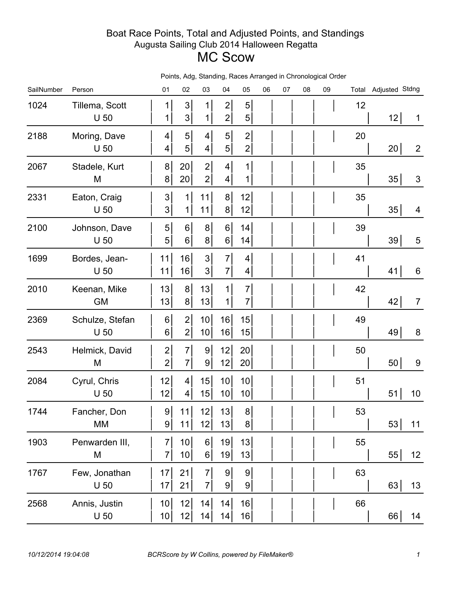## Boat Race Points, Total and Adjusted Points, and Standings Augusta Sailing Club 2014 Halloween Regatta MC Scow

| SailNumber | Person                            | 01                                 | 02                                | olunung,<br>03                     | 04                                 | $1.00007$ $1.0190$<br>05         | 06 | 07 | 08 | 09 |    | Total Adjusted Stdng |                |
|------------|-----------------------------------|------------------------------------|-----------------------------------|------------------------------------|------------------------------------|----------------------------------|----|----|----|----|----|----------------------|----------------|
| 1024       | Tillema, Scott<br>U <sub>50</sub> | 1<br>1                             | 3<br>3 <sup>1</sup>               | 1<br>1                             | $\mathbf{2}$<br>$\mathbf{2}$       | 5<br>$\sqrt{5}$                  |    |    |    |    | 12 | 12                   | $\mathbf 1$    |
| 2188       | Moring, Dave<br>$U$ 50            | $\vert 4 \vert$<br>$\vert 4 \vert$ | 5<br>5                            | $\vert 4 \vert$<br>$\vert 4 \vert$ | 5 <sup>1</sup><br>5 <sup>1</sup>   | $\overline{2}$<br>$\mathbf{2}$   |    |    |    |    | 20 | 20                   | $\overline{2}$ |
| 2067       | Stadele, Kurt<br>M                | 8 <sup>1</sup><br>8 <sup>1</sup>   | 20<br>20                          | $\overline{2}$<br>$\mathbf{2}$     | $\vert 4 \vert$<br>4               | $\mathbf{1}$<br>1                |    |    |    |    | 35 | 35                   | $\mathfrak{S}$ |
| 2331       | Eaton, Craig<br>U <sub>50</sub>   | 3 <sup>1</sup><br>3 <sup>1</sup>   | 1<br>$\mathbf 1$                  | 11<br>11                           | 8 <sup>1</sup><br>8 <sup>1</sup>   | 12<br>12                         |    |    |    |    | 35 | 35                   | 4              |
| 2100       | Johnson, Dave<br>U <sub>50</sub>  | 5 <sup>1</sup><br>5 <sup>1</sup>   | 6 <sup>1</sup><br>$6\vert$        | 8 <sup>1</sup><br>8 <sup>1</sup>   | $6 \mid$<br>6 <sup>1</sup>         | 14<br>14                         |    |    |    |    | 39 | 39                   | 5              |
| 1699       | Bordes, Jean-<br>U <sub>50</sub>  | 11<br>11                           | 16<br>16                          | 3 <sup>1</sup><br>3 <sup>1</sup>   | $\overline{7}$<br>$\overline{7}$   | 4<br>4                           |    |    |    |    | 41 | 41                   | 6              |
| 2010       | Keenan, Mike<br><b>GM</b>         | 13<br>13                           | 8 <sup>1</sup><br>8 <sup>1</sup>  | 13<br>13                           | 1<br>$\mathbf 1$                   | $\overline{7}$<br>$\overline{7}$ |    |    |    |    | 42 | 42                   | $\overline{7}$ |
| 2369       | Schulze, Stefan<br>$U$ 50         | $6\vert$<br>$6\vert$               | $\mathbf{2}$<br>$\mathbf{2}$      | 10<br>10                           | 16<br>16                           | 15<br>15                         |    |    |    |    | 49 | 49                   | $\bf 8$        |
| 2543       | Helmick, David<br>M               | $\mathbf{2}$<br>$\overline{2}$     | $\overline{7}$<br>$\overline{7}$  | 9 <br>$\vert 9 \vert$              | 12<br>12                           | 20<br>20                         |    |    |    |    | 50 | 50                   | 9              |
| 2084       | Cyrul, Chris<br>U <sub>50</sub>   | 12<br>12                           | 4 <sup>1</sup><br>$\vert 4 \vert$ | 15<br>15                           | 10 <sup>1</sup><br>10 <sup>1</sup> | 10 <sup>1</sup><br>10            |    |    |    |    | 51 | 51<br>10             |                |
| 1744       | Fancher, Don<br>MM                | 9<br> 9                            | 11<br>11                          | 12<br>12                           | 13<br>13                           | 8 <sup>1</sup><br>8              |    |    |    |    | 53 | 53 <br>11            |                |
| 1903       | Penwarden III,<br>M               | 7 <sup>1</sup><br>$\overline{7}$   | 10<br>10                          | 6<br>$6 \mid$                      | 19<br>19                           | 13<br>13                         |    |    |    |    | 55 | 55<br>12             |                |
| 1767       | Few, Jonathan<br>U <sub>50</sub>  | 17<br>17                           | 21<br>21                          | $\overline{7}$<br>$7\vert$         | 9 <br>9                            | 9<br>$\vert 9 \vert$             |    |    |    |    | 63 | 63 <br>13            |                |
| 2568       | Annis, Justin<br>$U$ 50           | 10 <sub>l</sub><br>10              | 12<br>12                          | 14<br> 4                           | 14<br>14                           | 16<br>16                         |    |    |    |    | 66 | 66 <br>14            |                |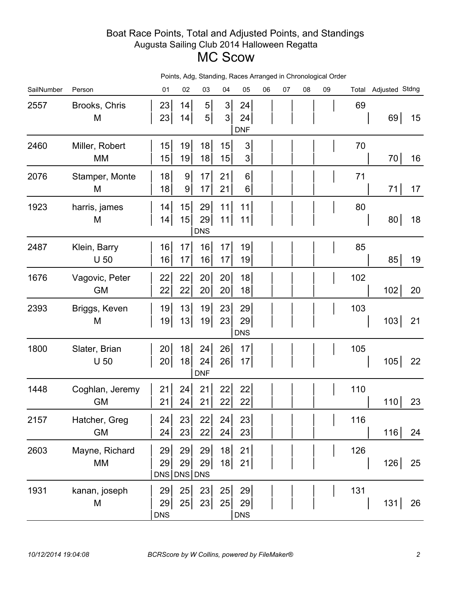## Boat Race Points, Total and Adjusted Points, and Standings Augusta Sailing Club 2014 Halloween Regatta MC Scow

|            | Points, Adg, Standing, Races Arranged in Chronological Order |                         |                     |                                  |                                  |                                 |    |    |    |    |     |                      |    |
|------------|--------------------------------------------------------------|-------------------------|---------------------|----------------------------------|----------------------------------|---------------------------------|----|----|----|----|-----|----------------------|----|
| SailNumber | Person                                                       | 01                      | 02                  | 03                               | 04                               | 05                              | 06 | 07 | 08 | 09 |     | Total Adjusted Stdng |    |
| 2557       | Brooks, Chris<br>M                                           | 23<br>23                | 14<br>14            | 5 <sup>1</sup><br>$\overline{5}$ | 3 <sup>1</sup><br>3 <sup>1</sup> | 24<br>24<br><b>DNF</b>          |    |    |    |    | 69  | 69                   | 15 |
| 2460       | Miller, Robert<br>MM                                         | 15<br>15                | 19<br>19            | 18<br>18                         | 15<br>15                         | $\mathfrak 3$<br>3 <sup>1</sup> |    |    |    |    | 70  | 70                   | 16 |
| 2076       | Stamper, Monte<br>M                                          | 18<br>18                | $\overline{9}$<br>9 | 17<br>17                         | 21<br>21                         | 6 <sup>1</sup><br>$6 \mid$      |    |    |    |    | 71  | 71                   | 17 |
| 1923       | harris, james<br>M                                           | 14<br> 4                | 15<br>15            | 29<br>29<br><b>DNS</b>           | 11<br>11                         | 11<br>11                        |    |    |    |    | 80  | 80                   | 18 |
| 2487       | Klein, Barry<br>U <sub>50</sub>                              | 16<br>16                | 17<br>17            | 16<br>16                         | 17<br>17                         | 19<br>19                        |    |    |    |    | 85  | 85                   | 19 |
| 1676       | Vagovic, Peter<br><b>GM</b>                                  | 22<br>22                | 22<br>22            | 20<br>20                         | 20<br>20                         | 18<br>18                        |    |    |    |    | 102 | 102                  | 20 |
| 2393       | Briggs, Keven<br>M                                           | 19<br>19                | 13<br>13            | 19<br>19                         | 23<br>23                         | 29<br>29<br><b>DNS</b>          |    |    |    |    | 103 | 103                  | 21 |
| 1800       | Slater, Brian<br>U <sub>50</sub>                             | 20<br>20                | 18<br>18            | 24<br>24<br><b>DNF</b>           | 26<br>26                         | 17<br>17                        |    |    |    |    | 105 | 105                  | 22 |
| 1448       | Coghlan, Jeremy<br>GM                                        | 21<br>21                | 24<br>24            | 21<br>21                         | 22<br>22                         | 22<br>22                        |    |    |    |    | 110 | 110                  | 23 |
| 2157       | Hatcher, Greg<br><b>GM</b>                                   | 24<br>24                | 23<br>23            | 22<br>22                         | 24<br>24                         | 23<br>23                        |    |    |    |    | 116 | 116                  | 24 |
| 2603       | Mayne, Richard<br>МM                                         | 29<br>29<br>DNS DNS DNS | 29<br>29            | 29<br>29                         | 18<br>18                         | 21<br>21                        |    |    |    |    | 126 | 126                  | 25 |
| 1931       | kanan, joseph<br>M                                           | 29<br>29<br><b>DNS</b>  | 25<br>25            | 23<br>23                         | 25<br>25                         | 29<br>29<br><b>DNS</b>          |    |    |    |    | 131 | 131                  | 26 |